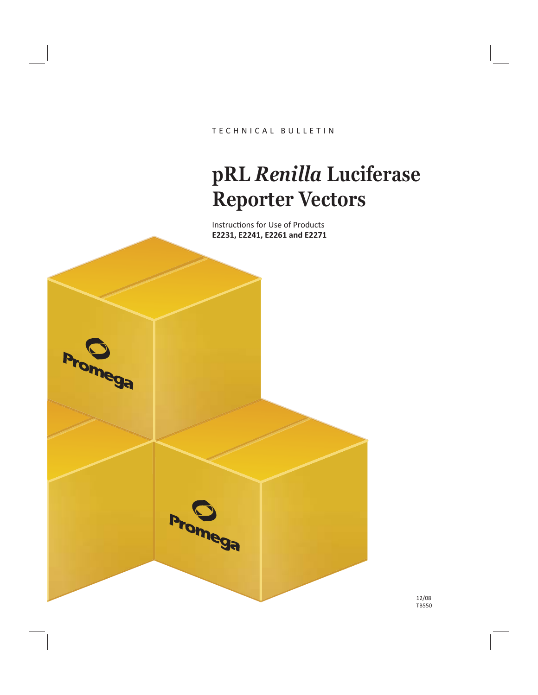TECHNICAL BULLETIN

# **pRL** *Renilla* **Luciferase Reporter Vectors**

Instructions for Use of Products **E2231, E2241, E2261 and E2271**

**Promega** 

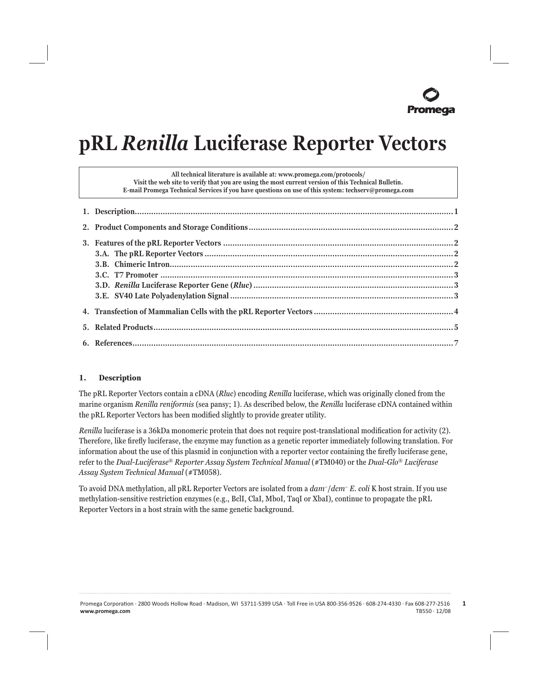# **pRL** *Renilla* **Luciferase Reporter Vectors**

| All technical literature is available at: www.promega.com/protocols/<br>Visit the web site to verify that you are using the most current version of this Technical Bulletin.<br>E-mail Promega Technical Services if you have questions on use of this system: techserv@promega.com |  |
|-------------------------------------------------------------------------------------------------------------------------------------------------------------------------------------------------------------------------------------------------------------------------------------|--|
|                                                                                                                                                                                                                                                                                     |  |
|                                                                                                                                                                                                                                                                                     |  |
|                                                                                                                                                                                                                                                                                     |  |
|                                                                                                                                                                                                                                                                                     |  |
|                                                                                                                                                                                                                                                                                     |  |
|                                                                                                                                                                                                                                                                                     |  |

#### **1. Description**

The pRL Reporter Vectors contain a cDNA (*Rluc*) encoding *Renilla* luciferase, which was originally cloned from the marine organism *Renilla reniformis* (sea pansy; 1). As described below, the *Renilla* luciferase cDNA contained within the pRL Reporter Vectors has been modified slightly to provide greater utility.

*Renilla* luciferase is a 36kDa monomeric protein that does not require post-translational modification for activity (2). Therefore, like firefly luciferase, the enzyme may function as a genetic reporter immediately following translation. For information about the use of this plasmid in conjunction with a reporter vector containing the firefly luciferase gene, refer to the *Dual-Luciferase*® *Reporter Assay System Technical Manual* (#TM040) or the *Dual-Glo*® *Luciferase Assay System Technical Manual* (#TM058).

To avoid DNA methylation, all pRL Reporter Vectors are isolated from a *dam*–/*dcm*– *E. coli* K host strain. If you use methylation-sensitive restriction enzymes (e.g., BclI, ClaI, MboI, TaqI or XbaI), continue to propagate the pRL Reporter Vectors in a host strain with the same genetic background.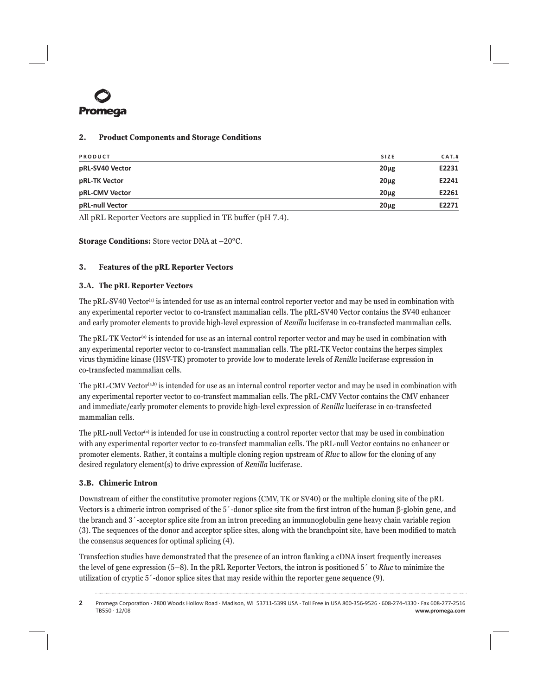

#### **2. Product Components and Storage Conditions**

| PRODUCT         | <b>SIZE</b>      | CAT.H |
|-----------------|------------------|-------|
| pRL-SV40 Vector | $20\mu$ g        | E2231 |
| pRL-TK Vector   | $20\mu$ g        | E2241 |
| pRL-CMV Vector  | 20 <sub>µg</sub> | E2261 |
| pRL-null Vector | $20\mu$ g        | E2271 |
|                 |                  |       |

All pRL Reporter Vectors are supplied in TE buffer ( $pH$  7.4).

**Storage Conditions:** Store vector DNA at –20°C.

# **3. Features of the pRL Reporter Vectors**

#### **3.A. The pRL Reporter Vectors**

The pRL-SV40 Vector<sup>(a)</sup> is intended for use as an internal control reporter vector and may be used in combination with any experimental reporter vector to co-transfect mammalian cells. The pRL-SV40 Vector contains the SV40 enhancer and early promoter elements to provide high-level expression of *Renilla* luciferase in co-transfected mammalian cells.

The pRL-TK Vector<sup>(a)</sup> is intended for use as an internal control reporter vector and may be used in combination with any experimental reporter vector to co-transfect mammalian cells. The pRL-TK Vector contains the herpes simplex virus thymidine kinase (HSV-TK) promoter to provide low to moderate levels of *Renilla* luciferase expression in co-transfected mammalian cells.

The pRL-CMV Vector<sup>(a,b)</sup> is intended for use as an internal control reporter vector and may be used in combination with any experimental reporter vector to co-transfect mammalian cells. The pRL-CMV Vector contains the CMV enhancer and immediate/early promoter elements to provide high-level expression of *Renilla* luciferase in co-transfected mammalian cells.

The pRL-null Vector<sup>(a)</sup> is intended for use in constructing a control reporter vector that may be used in combination with any experimental reporter vector to co-transfect mammalian cells. The pRL-null Vector contains no enhancer or promoter elements. Rather, it contains a multiple cloning region upstream of *Rluc* to allow for the cloning of any desired regulatory element(s) to drive expression of *Renilla* luciferase.

#### **3.B. Chimeric Intron**

Downstream of either the constitutive promoter regions (CMV, TK or SV40) or the multiple cloning site of the pRL Vectors is a chimeric intron comprised of the 5´-donor splice site from the first intron of the human β-globin gene, and the branch and 3´-acceptor splice site from an intron preceding an immunoglobulin gene heavy chain variable region (3). The sequences of the donor and acceptor splice sites, along with the branchpoint site, have been modified to match the consensus sequences for optimal splicing (4).

Transfection studies have demonstrated that the presence of an intron flanking a cDNA insert frequently increases the level of gene expression (5–8). In the pRL Reporter Vectors, the intron is positioned 5´ to *Rluc* to minimize the utilization of cryptic 5´-donor splice sites that may reside within the reporter gene sequence (9).

Promega Corporation · 2800 Woods Hollow Road · Madison, WI 53711-5399 USA · Toll Free in USA 800-356-9526 · 608-274-4330 · Fax 608-277-2516<br>www.promega.com www.promega.com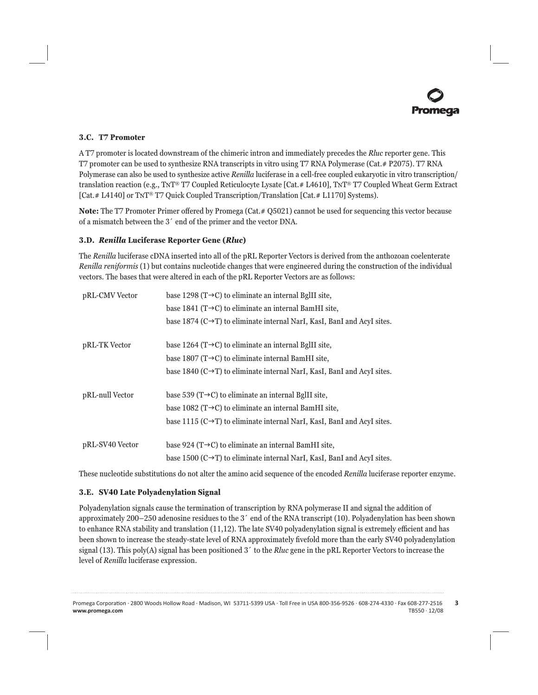# **3.C. T7 Promoter**

A T7 promoter is located downstream of the chimeric intron and immediately precedes the *Rluc* reporter gene. This T7 promoter can be used to synthesize RNA transcripts in vitro using T7 RNA Polymerase (Cat.# P2075). T7 RNA Polymerase can also be used to synthesize active *Renilla* luciferase in a cell-free coupled eukaryotic in vitro transcription/ translation reaction (e.g., TNT® T7 Coupled Reticulocyte Lysate [Cat.# L4610], TNT® T7 Coupled Wheat Germ Extract [Cat.# L4140] or TNT® T7 Quick Coupled Transcription/Translation [Cat.# L1170] Systems).

**Note:** The T7 Promoter Primer offered by Promega (Cat.# Q5021) cannot be used for sequencing this vector because of a mismatch between the 3´ end of the primer and the vector DNA.

# **3.D.** *Renilla* **Luciferase Reporter Gene (***Rluc***)**

The *Renilla* luciferase cDNA inserted into all of the pRL Reporter Vectors is derived from the anthozoan coelenterate *Renilla reniformis* (1) but contains nucleotide changes that were engineered during the construction of the individual vectors. The bases that were altered in each of the pRL Reporter Vectors are as follows:

| pRL-CMV Vector  | base 1298 ( $T\rightarrow C$ ) to eliminate an internal BgIII site,                    |  |  |  |  |
|-----------------|----------------------------------------------------------------------------------------|--|--|--|--|
|                 | base 1841 ( $T\rightarrow C$ ) to eliminate an internal BamHI site,                    |  |  |  |  |
|                 | base 1874 ( $C \rightarrow T$ ) to eliminate internal NarI, KasI, BanI and AcyI sites. |  |  |  |  |
| pRL-TK Vector   | base 1264 ( $T\rightarrow C$ ) to eliminate an internal BgIII site,                    |  |  |  |  |
|                 | base 1807 ( $T\rightarrow C$ ) to eliminate internal BamHI site,                       |  |  |  |  |
|                 | base 1840 ( $C \rightarrow T$ ) to eliminate internal NarI, KasI, BanI and AcyI sites. |  |  |  |  |
| pRL-null Vector | base 539 ( $T\rightarrow C$ ) to eliminate an internal BglII site,                     |  |  |  |  |
|                 | base 1082 ( $T\rightarrow C$ ) to eliminate an internal BamHI site,                    |  |  |  |  |
|                 | base 1115 ( $C \rightarrow T$ ) to eliminate internal NarI, KasI, BanI and AcyI sites. |  |  |  |  |
| pRL-SV40 Vector | base 924 ( $T\rightarrow C$ ) to eliminate an internal BamHI site,                     |  |  |  |  |
|                 | base 1500 ( $C \rightarrow T$ ) to eliminate internal NarI, KasI, BanI and AcyI sites. |  |  |  |  |

These nucleotide substitutions do not alter the amino acid sequence of the encoded *Renilla* luciferase reporter enzyme.

#### **3.E. SV40 Late Polyadenylation Signal**

Polyadenylation signals cause the termination of transcription by RNA polymerase II and signal the addition of approximately 200–250 adenosine residues to the 3´ end of the RNA transcript (10). Polyadenylation has been shown to enhance RNA stability and translation  $(11,12)$ . The late SV40 polyadenylation signal is extremely efficient and has been shown to increase the steady-state level of RNA approximately fivefold more than the early SV40 polyadenylation signal (13). This poly(A) signal has been positioned 3´ to the *Rluc* gene in the pRL Reporter Vectors to increase the level of *Renilla* luciferase expression.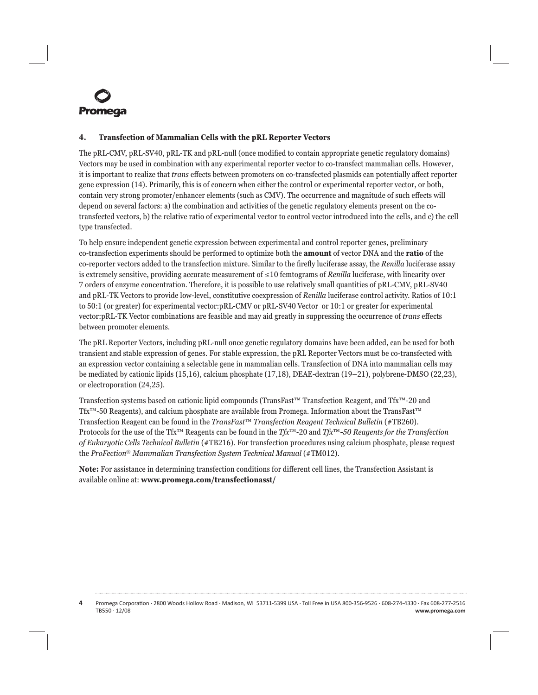

### **4. Transfection of Mammalian Cells with the pRL Reporter Vectors**

The pRL-CMV, pRL-SV40, pRL-TK and pRL-null (once modified to contain appropriate genetic regulatory domains) Vectors may be used in combination with any experimental reporter vector to co-transfect mammalian cells. However, it is important to realize that *trans* effects between promoters on co-transfected plasmids can potentially affect reporter gene expression (14). Primarily, this is of concern when either the control or experimental reporter vector, or both, contain very strong promoter/enhancer elements (such as CMV). The occurrence and magnitude of such effects will depend on several factors: a) the combination and activities of the genetic regulatory elements present on the cotransfected vectors, b) the relative ratio of experimental vector to control vector introduced into the cells, and c) the cell type transfected.

To help ensure independent genetic expression between experimental and control reporter genes, preliminary co-transfection experiments should be performed to optimize both the **amount** of vector DNA and the **ratio** of the co-reporter vectors added to the transfection mixture. Similar to the firefly luciferase assay, the *Renilla* luciferase assay is extremely sensitive, providing accurate measurement of ≤10 femtograms of *Renilla* luciferase, with linearity over 7 orders of enzyme concentration. Therefore, it is possible to use relatively small quantities of pRL-CMV, pRL-SV40 and pRL-TK Vectors to provide low-level, constitutive coexpression of *Renilla* luciferase control activity. Ratios of 10:1 to 50:1 (or greater) for experimental vector:pRL-CMV or pRL-SV40 Vector or 10:1 or greater for experimental vector:pRL-TK Vector combinations are feasible and may aid greatly in suppressing the occurrence of *trans* effects between promoter elements.

The pRL Reporter Vectors, including pRL-null once genetic regulatory domains have been added, can be used for both transient and stable expression of genes. For stable expression, the pRL Reporter Vectors must be co-transfected with an expression vector containing a selectable gene in mammalian cells. Transfection of DNA into mammalian cells may be mediated by cationic lipids (15,16), calcium phosphate (17,18), DEAE-dextran (19–21), polybrene-DMSO (22,23), or electroporation (24,25).

Transfection systems based on cationic lipid compounds (TransFast™ Transfection Reagent, and Tfx™-20 and Tfx™-50 Reagents), and calcium phosphate are available from Promega. Information about the TransFast™ Transfection Reagent can be found in the *TransFast*™ *Transfection Reagent Technical Bulletin* (#TB260). Protocols for the use of the Tfx™ Reagents can be found in the *Tfx*™-20 and *Tfx*™*-50 Reagents for the Transfection of Eukaryotic Cells Technical Bulletin* (#TB216). For transfection procedures using calcium phosphate, please request the *ProFection*® *Mammalian Transfection System Technical Manual* (#TM012).

**Note:** For assistance in determining transfection conditions for different cell lines, the Transfection Assistant is available online at: **www.promega.com/transfectionasst/**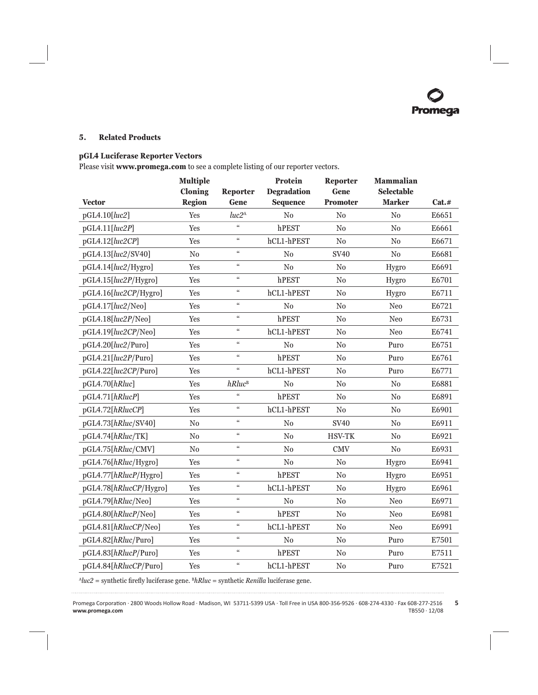#### **5. Related Products**

# **pGL4 Luciferase Reporter Vectors**

Please visit **www.promega.com** to see a complete listing of our reporter vectors.

|                        | <b>Multiple</b><br>Cloning | <b>Reporter</b>               | Protein<br><b>Degradation</b> | Reporter<br>Gene | <b>Mammalian</b><br><b>Selectable</b> |       |
|------------------------|----------------------------|-------------------------------|-------------------------------|------------------|---------------------------------------|-------|
| <b>Vector</b>          | <b>Region</b>              | Gene                          | <b>Sequence</b>               | <b>Promoter</b>  | <b>Marker</b>                         | Cat.# |
| pGL4.10[luc2]          | Yes                        | luc <sub>2</sub> <sup>A</sup> | N <sub>0</sub>                | No               | N <sub>0</sub>                        | E6651 |
| pGL4.11[luc2P]         | Yes                        | $\epsilon$                    | hPEST                         | N <sub>0</sub>   | N <sub>0</sub>                        | E6661 |
| pGL4.12[luc2CP]        | Yes                        | $\zeta\zeta$                  | hCL1-hPEST                    | No               | No                                    | E6671 |
| pGL4.13[luc2/SV40]     | No                         | $\epsilon\epsilon$            | No                            | <b>SV40</b>      | $\rm No$                              | E6681 |
| pGL4.14[luc2/Hygro]    | Yes                        | $\zeta\zeta$                  | $\rm No$                      | No               | Hygro                                 | E6691 |
| pGL4.15[luc2P/Hygro]   | Yes                        | $\zeta\zeta$                  | hPEST                         | N <sub>0</sub>   | Hygro                                 | E6701 |
| pGL4.16[luc2CP/Hygro]  | Yes                        | $\epsilon\epsilon$            | hCL1-hPEST                    | N <sub>0</sub>   | Hygro                                 | E6711 |
| pGL4.17[luc2/Neo]      | Yes                        | $\zeta\zeta$                  | No                            | No               | Neo                                   | E6721 |
| pGL4.18[luc2P/Neo]     | Yes                        | $\epsilon\epsilon$            | hPEST                         | $\rm No$         | Neo                                   | E6731 |
| pGL4.19[luc2CP/Neo]    | Yes                        | $\mathfrak{c}\mathfrak{c}$    | hCL1-hPEST                    | No               | Neo                                   | E6741 |
| pGL4.20[luc2/Puro]     | Yes                        | $\epsilon\epsilon$            | No                            | $\rm No$         | Puro                                  | E6751 |
| pGL4.21[luc2P/Puro]    | Yes                        | $\epsilon\epsilon$            | hPEST                         | $\rm No$         | Puro                                  | E6761 |
| pGL4.22[luc2CP/Puro]   | Yes                        | $\epsilon\epsilon$            | hCL1-hPEST                    | No               | Puro                                  | E6771 |
| pGL4.70[hRluc]         | Yes                        | $hRluc$ <sup>B</sup>          | N <sub>0</sub>                | N <sub>0</sub>   | No                                    | E6881 |
| pGL4.71[hRlucP]        | Yes                        | $\epsilon\epsilon$            | hPEST                         | N <sub>0</sub>   | No                                    | E6891 |
| pGL4.72[hRlucCP]       | Yes                        | $\epsilon\epsilon$            | hCL1-hPEST                    | N <sub>0</sub>   | N <sub>0</sub>                        | E6901 |
| pGL4.73[hRluc/SV40]    | No                         | $\epsilon\epsilon$            | $\rm No$                      | <b>SV40</b>      | $\rm No$                              | E6911 |
| pGL4.74[hRluc/TK]      | N <sub>0</sub>             | $\epsilon\epsilon$            | N <sub>0</sub>                | <b>HSV-TK</b>    | No                                    | E6921 |
| pGL4.75[hRluc/CMV]     | $\rm No$                   | $\epsilon\epsilon$            | $\rm No$                      | <b>CMV</b>       | $\rm No$                              | E6931 |
| pGL4.76[hRluc/Hygro]   | Yes                        | $\zeta\zeta$                  | No                            | No               | Hygro                                 | E6941 |
| pGL4.77[hRlucP/Hygro]  | Yes                        | $\epsilon\epsilon$            | hPEST                         | $\rm No$         | Hygro                                 | E6951 |
| pGL4.78[hRlucCP/Hygro] | Yes                        | $\mathcal{C}$                 | hCL1-hPEST                    | No               | Hygro                                 | E6961 |
| pGL4.79[hRluc/Neo]     | Yes                        | $\epsilon\epsilon$            | No                            | N <sub>0</sub>   | Neo                                   | E6971 |
| pGL4.80[hRlucP/Neo]    | Yes                        | $\zeta\zeta$                  | hPEST                         | $\rm No$         | Neo                                   | E6981 |
| pGL4.81[hRlucCP/Neo]   | Yes                        | $\zeta\zeta$                  | hCL1-hPEST                    | No               | Neo                                   | E6991 |
| pGL4.82[hRluc/Puro]    | Yes                        | $\zeta\zeta$                  | $\rm No$                      | $\rm No$         | Puro                                  | E7501 |
| pGL4.83[hRlucP/Puro]   | Yes                        | $\zeta\zeta$                  | hPEST                         | No               | Puro                                  | E7511 |
| pGL4.84[hRlucCP/Puro]  | Yes                        | $\epsilon\epsilon$            | hCL1-hPEST                    | N <sub>0</sub>   | Puro                                  | E7521 |

 $^{A}$ *luc2* = synthetic firefly luciferase gene.  $^{B}$ *hRluc* = synthetic *Renilla* luciferase gene. . . . . . . . . . . .

. . . . . . . . . . . .

....

. . . . . . . . . . . .

. . . . . . . . . . .

. . . . . . . . . . .

. . . . . . . . . . .

. . . . . . . . . .

. . . . . . . . .

. . . . . . . . .

. . . . . . . . . .

. . . . . . . . . . .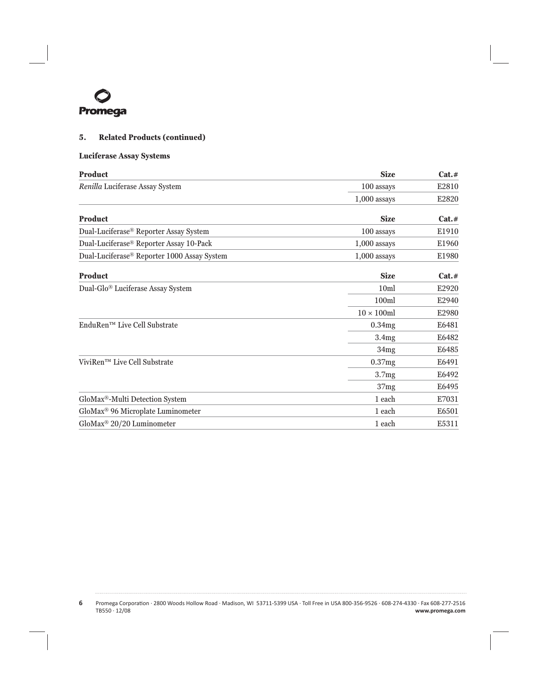

# **5. Related Products (continued)**

# **Luciferase Assay Systems**

| <b>Product</b>                                          | <b>Size</b>                                                                                                                      | Cat.#     |
|---------------------------------------------------------|----------------------------------------------------------------------------------------------------------------------------------|-----------|
| Renilla Luciferase Assay System                         | 100 assays<br>$1,000$ assays<br><b>Size</b><br>100 assays<br>$1,000$ assays<br>$1,000$ assays<br><b>Size</b><br>10 <sub>ml</sub> | E2810     |
|                                                         |                                                                                                                                  | E2820     |
| <b>Product</b>                                          |                                                                                                                                  | $Cat. \#$ |
| Dual-Luciferase® Reporter Assay System                  |                                                                                                                                  | E1910     |
| Dual-Luciferase® Reporter Assay 10-Pack                 |                                                                                                                                  | E1960     |
| Dual-Luciferase <sup>®</sup> Reporter 1000 Assay System |                                                                                                                                  | E1980     |
| <b>Product</b>                                          |                                                                                                                                  | Cat.#     |
| Dual-Glo <sup>®</sup> Luciferase Assay System           |                                                                                                                                  | E2920     |
|                                                         | 100ml                                                                                                                            | E2940     |
|                                                         | $10 \times 100$ ml                                                                                                               | E2980     |
| EnduRen <sup>™</sup> Live Cell Substrate                | 0.34mg                                                                                                                           | E6481     |
|                                                         | 3.4mg                                                                                                                            | E6482     |
|                                                         | 34mg                                                                                                                             | E6485     |
| ViviRen™ Live Cell Substrate                            | 0.37mg                                                                                                                           | E6491     |
|                                                         | 3.7 <sub>mg</sub>                                                                                                                | E6492     |
|                                                         | 37mg                                                                                                                             | E6495     |
| GloMax®-Multi Detection System                          | 1 each                                                                                                                           | E7031     |
| GloMax® 96 Microplate Luminometer                       | 1 each                                                                                                                           | E6501     |
| GloMax <sup>®</sup> 20/20 Luminometer                   | 1 each                                                                                                                           | E5311     |

**6** Promega CorporaƟ on · 2800 Woods Hollow Road · Madison, WI 53711-5399 USA · Toll Free in USA 800-356-9526 · 608-274-4330 · Fax 608-277-2516 TB550 · 12/08 **www.promega.com**

. . . . . .

. . . . . . .

. . . . .

. . . . . . .

لتتبت

. . . . . .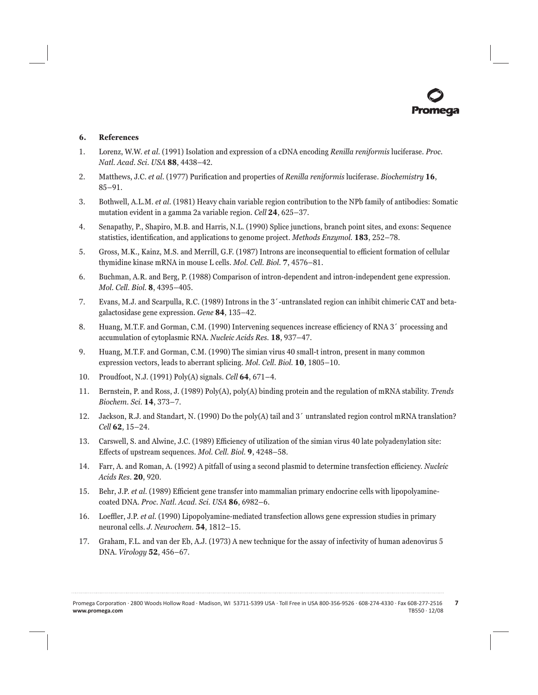#### **6. References**

- 1. Lorenz, W.W. *et al.* (1991) Isolation and expression of a cDNA encoding *Renilla reniformis* luciferase. *Proc. Natl. Acad. Sci. USA* **88**, 4438–42.
- 2. Matthews, J.C. *et al.* (1977) Purification and properties of *Renilla reniformis* luciferase. *Biochemistry* 16, 85–91.
- 3. Bothwell, A.L.M. *et al.* (1981) Heavy chain variable region contribution to the NPb family of antibodies: Somatic mutation evident in a gamma 2a variable region. *Cell* **24**, 625–37.
- 4. Senapathy, P., Shapiro, M.B. and Harris, N.L. (1990) Splice junctions, branch point sites, and exons: Sequence statistics, identification, and applications to genome project. *Methods Enzymol*. **183**, 252–78.
- 5. Gross, M.K., Kainz, M.S. and Merrill, G.F. (1987) Introns are inconsequential to efficient formation of cellular thymidine kinase mRNA in mouse L cells. *Mol. Cell. Biol.* **7**, 4576–81.
- 6. Buchman, A.R. and Berg, P. (1988) Comparison of intron-dependent and intron-independent gene expression. *Mol. Cell. Biol.* **8**, 4395–405.
- 7. Evans, M.J. and Scarpulla, R.C. (1989) Introns in the 3´-untranslated region can inhibit chimeric CAT and betagalactosidase gene expression. *Gene* **84**, 135–42.
- 8. Huang, M.T.F. and Gorman, C.M. (1990) Intervening sequences increase efficiency of RNA 3<sup> $\prime$ </sup> processing and accumulation of cytoplasmic RNA. *Nucleic Acids Res.* **18**, 937–47.
- 9. Huang, M.T.F. and Gorman, C.M. (1990) The simian virus 40 small-t intron, present in many common expression vectors, leads to aberrant splicing. *Mol. Cell. Biol.* **10**, 1805–10.
- 10. Proudfoot, N.J. (1991) Poly(A) signals. *Cell* **64**, 671–4.
- 11. Bernstein, P. and Ross, J. (1989) Poly(A), poly(A) binding protein and the regulation of mRNA stability. *Trends Biochem. Sci.* **14**, 373–7.
- 12. Jackson, R.J. and Standart, N. (1990) Do the poly(A) tail and 3´ untranslated region control mRNA translation? *Cell* **62**, 15–24.
- 13. Carswell, S. and Alwine, J.C. (1989) Efficiency of utilization of the simian virus 40 late polyadenylation site: Eff ects of upstream sequences. *Mol. Cell. Biol.* **9**, 4248–58.
- 14. Farr, A. and Roman, A. (1992) A pitfall of using a second plasmid to determine transfection efficiency. *Nucleic Acids Res.* **20**, 920.
- 15. Behr, J.P. *et al.* (1989) Efficient gene transfer into mammalian primary endocrine cells with lipopolyaminecoated DNA. *Proc. Natl. Acad. Sci. USA* **86**, 6982–6.
- 16. Loeffler, J.P. *et al.* (1990) Lipopolyamine-mediated transfection allows gene expression studies in primary neuronal cells. *J. Neurochem.* **54**, 1812–15.
- 17. Graham, F.L. and van der Eb, A.J. (1973) A new technique for the assay of infectivity of human adenovirus 5 DNA. *Virology* **52**, 456–67.